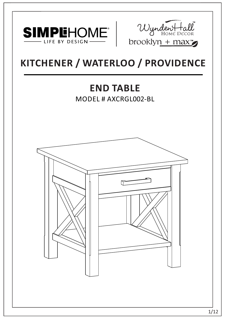



# **KITCHENER / WATERLOO / PROVIDENCE**

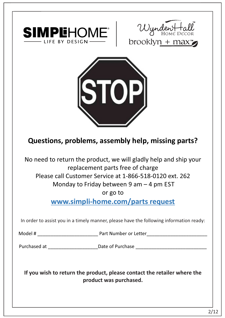





# **Questions, problems, assembly help, missing parts?**

No need to return the product, we will gladly help and ship your replacement parts free of charge Please call Customer Service at 1-866-518-0120 ext. 262 Monday to Friday between 9 am – 4 pm EST

or go to

**www.simpli-home.com/parts request** 

In order to assist you in a timely manner, please have the following information ready:

Model # \_\_\_\_\_\_\_\_\_\_\_\_\_\_\_\_\_\_\_\_\_\_\_ Part Number or Letter\_\_\_\_\_\_\_\_\_\_\_\_\_\_\_\_\_\_\_\_\_\_\_

Purchased at \_\_\_\_\_\_\_\_\_\_\_\_\_\_\_\_\_\_\_\_\_\_\_\_\_\_\_\_Date of Purchase \_\_\_\_\_\_\_\_\_\_\_\_\_\_\_\_\_\_\_\_\_\_

**If you wish to return the product, please contact the retailer where the product was purchased.**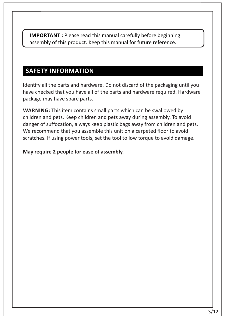**IMPORTANT :** Please read this manual carefully before beginning assembly of this product. Keep this manual for future reference.

## **SAFETY INFORMATION**

Identify all the parts and hardware. Do not discard of the packaging until you have checked that you have all of the parts and hardware required. Hardware package may have spare parts.

**WARNING:** This item contains small parts which can be swallowed by children and pets. Keep children and pets away during assembly. To avoid danger of suffocation, always keep plastic bags away from children and pets. We recommend that you assemble this unit on a carpeted floor to avoid scratches. If using power tools, set the tool to low torque to avoid damage.

#### **May require 2 people for ease of assembly.**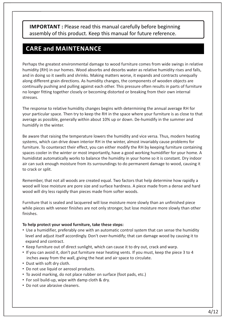**IMPORTANT :** Please read this manual carefully before beginning assembly of this product. Keep this manual for future reference.

#### **CARE and MAINTENANCE**

Perhaps the greatest environmental damage to wood furniture comes from wide swings in relative humidity (RH) in our homes. Wood absorbs and desorbs water as relative humidity rises and falls, and in doing so it swells and shrinks. Making matters worse, it expands and contracts unequally along different grain directions. As humidity changes, the components of wooden objects are continually pushing and pulling against each other. This pressure often results in parts of furniture no longer fitting together closely or becoming distorted or breaking from their own internal stresses.

The response to relative humidity changes begins with determining the annual average RH for your particular space. Then try to keep the RH in the space where your furniture is as close to that average as possible, generally within about 10% up or down. De-humidify in the summer and humidify in the winter.

Be aware that raising the temperature lowers the humidity and vice versa. Thus, modern heating systems, which can drive down interior RH in the winter, almost invariably cause problems for furniture. To counteract their effect, you can either modify the RH by keeping furniture containing spaces cooler in the winter or most importantly, have a good working humidifier for your home. A humidistat automatically works to balance the humidity in your home so it is constant. Dry indoor air can suck enough moisture from its surroundings to do permanent damage to wood, causing it to crack or split.

Remember, that not all woods are created equal. Two factors that help determine how rapidly a wood will lose moisture are pore size and surface hardness. A piece made from a dense and hard wood will dry less rapidly than pieces made from softer woods.

Furniture that is sealed and lacquered will lose moisture more slowly than an unfinished piece while pieces with veneer finishes are not only stronger, but lose moisture more slowly than other finishes.

#### **To help protect your wood furniture, take these steps:**

- Use a humidifier, preferably one with an automatic control system that can sense the humidity level and adjust itself accordingly. Don't over-humidify; that can damage wood by causing it to expand and contract.
- Keep furniture out of direct sunlight, which can cause it to dry out, crack and warp.
- If you can avoid it, don't put furniture near heating vents. If you must, keep the piece 3 to 4 inches away from the wall, giving the heat and air space to circulate.
- Dust with soft dry cloth.
- Do not use liquid or aerosol products.
- To avoid marking, do not place rubber on surface (foot pads, etc.)
- For soil build-up, wipe with damp cloth & dry.
- Do not use abrasive cleaners.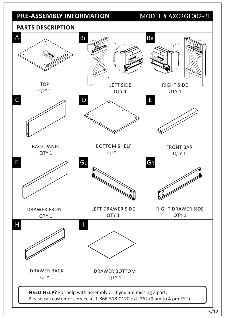# **PRE-ASSEMBLY INFORMATION** MODEL # AXCRGL002-BL

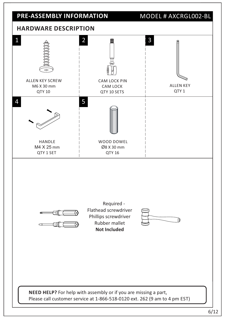

#### 6/12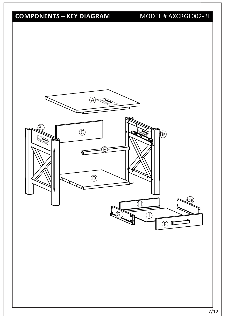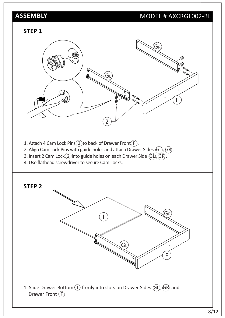#### MODEL # AXCRGL002-BL

#### **STEP 1**

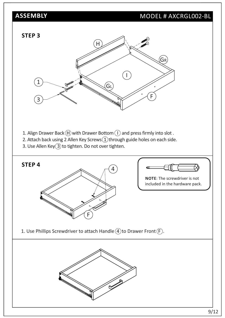## MODEL # AXCRGL002-BL

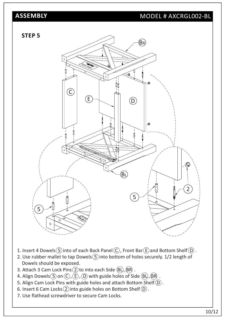#### MODEL # AXCRGL002-BL



- 1. Insert 4 Dowels  $(5)$  into of each Back Panel  $(C)$ , Front Bar  $(\widehat{E})$  and Bottom Shelf  $(D)$ .
- 2. Use rubber mallet to tap Dowels  $(5)$  into bottom of holes securely. 1/2 length of Dowels should be exposed.
- 3. Attach 3 Cam Lock Pins $(2)$ to into each Side  $(BL)$ ,  $(BR)$ .
- 4. Align Dowels  $\overline{S}$  on  $\overline{C}$  ,  $\overline{E}$  ,  $\overline{D}$  with guide holes of Side  $\overline{B}$ ,  $\overline{B}$  .
- 5. Align Cam Lock Pins with guide holes and attach Bottom Shelf $(D)$ .
- 6. Insert 6 Cam Locks $(2)$  into guide holes on Bottom Shelf $(D)$ .
- 7. Use flathead screwdriver to secure Cam Locks.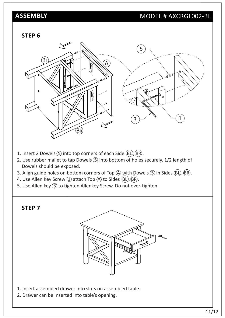#### MODEL # AXCRGL002-BL

#### **STEP 6**



- 1. Insert 2 Dowels  $\circledS$  into top corners of each Side  $\circledR$ ,  $\circledR$ .
- 2. Use rubber mallet to tap Dowels  $(5)$  into bottom of holes securely. 1/2 length of Dowels should be exposed.
- 3. Align guide holes on bottom corners of Top  $\overline{A}$  with Dowels  $\overline{B}$  in Sides  $\overline{B}L$ ,  $\overline{BR}$ ).
- 4. Use Allen Key Screw  $(1)$  attach Top  $(A)$  to Sides  $(BL)$ ,  $(BR)$ .
- 5. Use Allen key (3) to tighten Allenkey Screw. Do not over-tighten.

**STEP 7**



- 1. Insert assembled drawer into slots on assembled table.
- 2. Drawer can be inserted into table's opening.